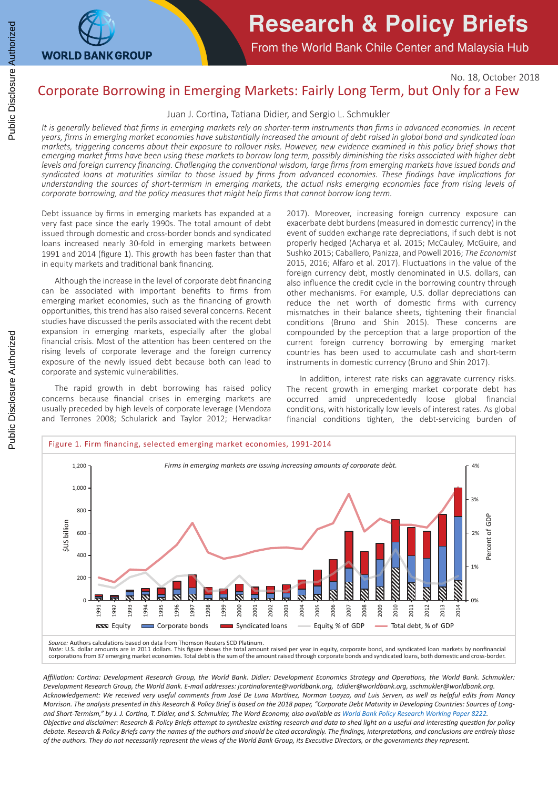

# **Research & Policy Briefs**

From the World Bank Chile Center and Malaysia Hub

No. 18, October 2018

# Corporate Borrowing in Emerging Markets: Fairly Long Term, but Only for a Few

Juan J. Cortina, Tatiana Didier, and Sergio L. Schmukler

*It is generally believed that firms in emerging markets rely on shorter-term instruments than firms in advanced economies. In recent years, firms in emerging market economies have substantially increased the amount of debt raised in global bond and syndicated loan markets, triggering concerns about their exposure to rollover risks. However, new evidence examined in this policy brief shows that emerging market firms have been using these markets to borrow long term, possibly diminishing the risks associated with higher debt levels and foreign currency financing. Challenging the conventional wisdom, large firms from emerging markets have issued bonds and syndicated loans at maturities similar to those issued by firms from advanced economies. These findings have implications for understanding the sources of short-termism in emerging markets, the actual risks emerging economies face from rising levels of corporate borrowing, and the policy measures that might help firms that cannot borrow long term.*

Debt issuance by firms in emerging markets has expanded at a very fast pace since the early 1990s. The total amount of debt issued through domestic and cross-border bonds and syndicated loans increased nearly 30-fold in emerging markets between 1991 and 2014 (figure 1). This growth has been faster than that in equity markets and traditional bank financing.

 Although the increase in the level of corporate debt financing can be associated with important benefits to firms from emerging market economies, such as the financing of growth opportunities, this trend has also raised several concerns. Recent studies have discussed the perils associated with the recent debt expansion in emerging markets, especially after the global financial crisis. Most of the attention has been centered on the rising levels of corporate leverage and the foreign currency exposure of the newly issued debt because both can lead to corporate and systemic vulnerabilities.

 The rapid growth in debt borrowing has raised policy concerns because financial crises in emerging markets are usually preceded by high levels of corporate leverage (Mendoza and Terrones 2008; Schularick and Taylor 2012; Herwadkar

2017). Moreover, increasing foreign currency exposure can exacerbate debt burdens (measured in domestic currency) in the event of sudden exchange rate depreciations, if such debt is not properly hedged (Acharya et al. 2015; McCauley, McGuire, and Sushko 2015; Caballero, Panizza, and Powell 2016; *The Economist* 2015, 2016; Alfaro et al. 2017). Fluctuations in the value of the foreign currency debt, mostly denominated in U.S. dollars, can also influence the credit cycle in the borrowing country through other mechanisms. For example, U.S. dollar depreciations can reduce the net worth of domestic firms with currency mismatches in their balance sheets, tightening their financial conditions (Bruno and Shin 2015). These concerns are compounded by the perception that a large proportion of the current foreign currency borrowing by emerging market countries has been used to accumulate cash and short-term instruments in domestic currency (Bruno and Shin 2017).

 In addition, interest rate risks can aggravate currency risks. The recent growth in emerging market corporate debt has occurred amid unprecedentedly loose global financial conditions, with historically low levels of interest rates. As global financial conditions tighten, the debt-servicing burden of



*Note:* U.S. dollar amounts are in 2011 dollars. This figure shows the total amount raised per year in equity, corporate bond, and syndicated loan markets by nonfinancial corporations from 37 emerging market economies. Total debt is the sum of the amount raised through corporate bonds and syndicated loans, both domestic and cross-border.

and Short-Termism," by J. J. Cortina, T. Didier, and S. Schmukler, The Word Economy, also available as World Bank Policy Research Working Paper 8222. *Affiliation: Cortina: Development Research Group, the World Bank. Didier: Development Economics Strategy and Operations, the World Bank. Schmukler: Development Research Group, the World Bank. E-mail addresses: jcortinalorente@worldbank.org, tdidier@worldbank.org, sschmukler@worldbank.org. Acknowledgement: We received very useful comments from José De Luna Martínez, Norman Loayza, and Luis Serven, as well as helpful edits from Nancy Morrison. The analysis presented in this Research & Policy Brief is based on the 2018 paper, "Corporate Debt Maturity in Developing Countries: Sources of Long-Objective and disclaimer: Research & Policy Briefs attempt to synthesize existing research and data to shed light on a useful and interesting question for policy debate. Research & Policy Briefs carry the names of the authors and should be cited accordingly. The findings, interpretations, and conclusions are entirely those*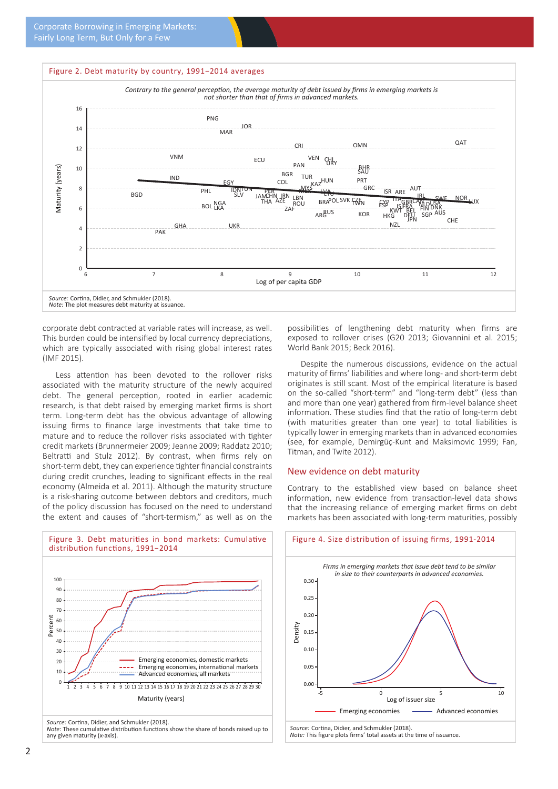

corporate debt contracted at variable rates will increase, as well. This burden could be intensified by local currency depreciations, which are typically associated with rising global interest rates (IMF 2015).

 Less attention has been devoted to the rollover risks associated with the maturity structure of the newly acquired debt. The general perception, rooted in earlier academic research, is that debt raised by emerging market firms is short term. Long-term debt has the obvious advantage of allowing issuing firms to finance large investments that take time to mature and to reduce the rollover risks associated with tighter credit markets (Brunnermeier 2009; Jeanne 2009; Raddatz 2010; Beltratti and Stulz 2012). By contrast, when firms rely on short-term debt, they can experience tighter financial constraints during credit crunches, leading to significant effects in the real economy (Almeida et al. 2011). Although the maturity structure is a risk-sharing outcome between debtors and creditors, much of the policy discussion has focused on the need to understand the extent and causes of "short-termism," as well as on the

possibilities of lengthening debt maturity when firms are exposed to rollover crises (G20 2013; Giovannini et al. 2015; World Bank 2015; Beck 2016).

 Despite the numerous discussions, evidence on the actual maturity of firms' liabilities and where long- and short-term debt originates is still scant. Most of the empirical literature is based on the so-called "short-term" and "long-term debt" (less than and more than one year) gathered from firm-level balance sheet information. These studies find that the ratio of long-term debt (with maturities greater than one year) to total liabilities is typically lower in emerging markets than in advanced economies (see, for example, Demirgüç-Kunt and Maksimovic 1999; Fan, Titman, and Twite 2012).

## New evidence on debt maturity

Contrary to the established view based on balance sheet information, new evidence from transaction-level data shows that the increasing reliance of emerging market firms on debt markets has been associated with long-term maturities, possibly





any given maturity (x-axis).

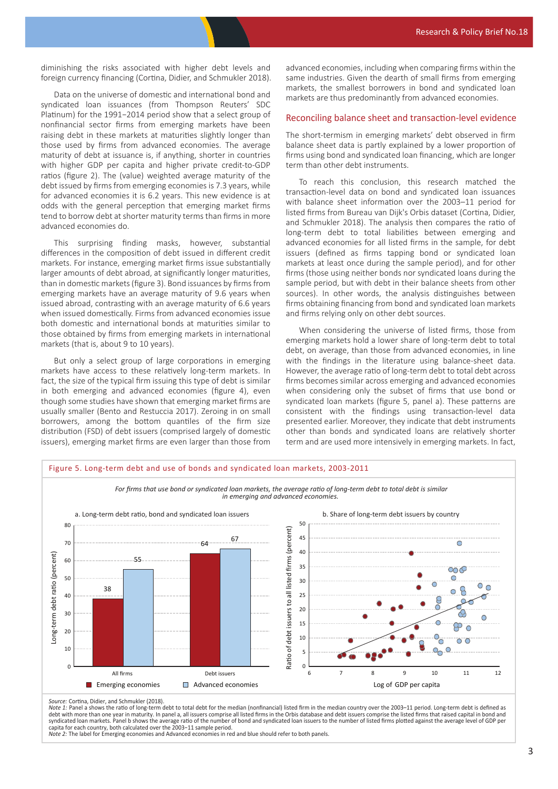diminishing the risks associated with higher debt levels and foreign currency financing (Cortina, Didier, and Schmukler 2018).

 Data on the universe of domestic and international bond and syndicated loan issuances (from Thompson Reuters' SDC Platinum) for the 1991−2014 period show that a select group of nonfinancial sector firms from emerging markets have been raising debt in these markets at maturities slightly longer than those used by firms from advanced economies. The average maturity of debt at issuance is, if anything, shorter in countries with higher GDP per capita and higher private credit-to-GDP ratios (figure 2). The (value) weighted average maturity of the debt issued by firms from emerging economies is 7.3 years, while for advanced economies it is 6.2 years. This new evidence is at odds with the general perception that emerging market firms tend to borrow debt at shorter maturity terms than firms in more advanced economies do.

 This surprising finding masks, however, substantial differences in the composition of debt issued in different credit markets. For instance, emerging market firms issue substantially larger amounts of debt abroad, at significantly longer maturities, than in domestic markets (figure 3). Bond issuances by firms from emerging markets have an average maturity of 9.6 years when issued abroad, contrasting with an average maturity of 6.6 years when issued domestically. Firms from advanced economies issue both domestic and international bonds at maturities similar to those obtained by firms from emerging markets in international markets (that is, about 9 to 10 years).

 But only a select group of large corporations in emerging markets have access to these relatively long-term markets. In fact, the size of the typical firm issuing this type of debt is similar in both emerging and advanced economies (figure 4), even though some studies have shown that emerging market firms are usually smaller (Bento and Restuccia 2017). Zeroing in on small borrowers, among the bottom quantiles of the firm size distribution (FSD) of debt issuers (comprised largely of domestic issuers), emerging market firms are even larger than those from

advanced economies, including when comparing firms within the same industries. Given the dearth of small firms from emerging markets, the smallest borrowers in bond and syndicated loan markets are thus predominantly from advanced economies.

## Reconciling balance sheet and transaction-level evidence

The short-termism in emerging markets' debt observed in firm balance sheet data is partly explained by a lower proportion of firms using bond and syndicated loan financing, which are longer term than other debt instruments.

 To reach this conclusion, this research matched the transaction-level data on bond and syndicated loan issuances with balance sheet information over the 2003–11 period for listed firms from Bureau van Dijk's Orbis dataset (Cortina, Didier, and Schmukler 2018). The analysis then compares the ratio of long-term debt to total liabilities between emerging and advanced economies for all listed firms in the sample, for debt issuers (defined as firms tapping bond or syndicated loan markets at least once during the sample period), and for other firms (those using neither bonds nor syndicated loans during the sample period, but with debt in their balance sheets from other sources). In other words, the analysis distinguishes between firms obtaining financing from bond and syndicated loan markets and firms relying only on other debt sources.

 When considering the universe of listed firms, those from emerging markets hold a lower share of long-term debt to total debt, on average, than those from advanced economies, in line with the findings in the literature using balance-sheet data. However, the average ratio of long-term debt to total debt across firms becomes similar across emerging and advanced economies when considering only the subset of firms that use bond or syndicated loan markets (figure 5, panel a). These patterns are consistent with the findings using transaction-level data presented earlier. Moreover, they indicate that debt instruments other than bonds and syndicated loans are relatively shorter term and are used more intensively in emerging markets. In fact,



*Source:* Cortina, Didier, and Schmukler (2018).<br>*Note 1: P*anel a shows the ratio of long-term debt to total debt for the median (nonfinancial) listed firm in the median country over the 2003–11 period. Long-term debt is debt with more than one year in maturity. In panel a, all issuers comprise all listed firms in the Orbis database and debt issuers comprise the listed firms that raised capital in bond and<br>syndicated loan markets. Panel b capita for each country, both calculated over the 2003−11 sample period.

*Note 2:* The label for Emerging economies and Advanced economies in red and blue should refer to both panels.